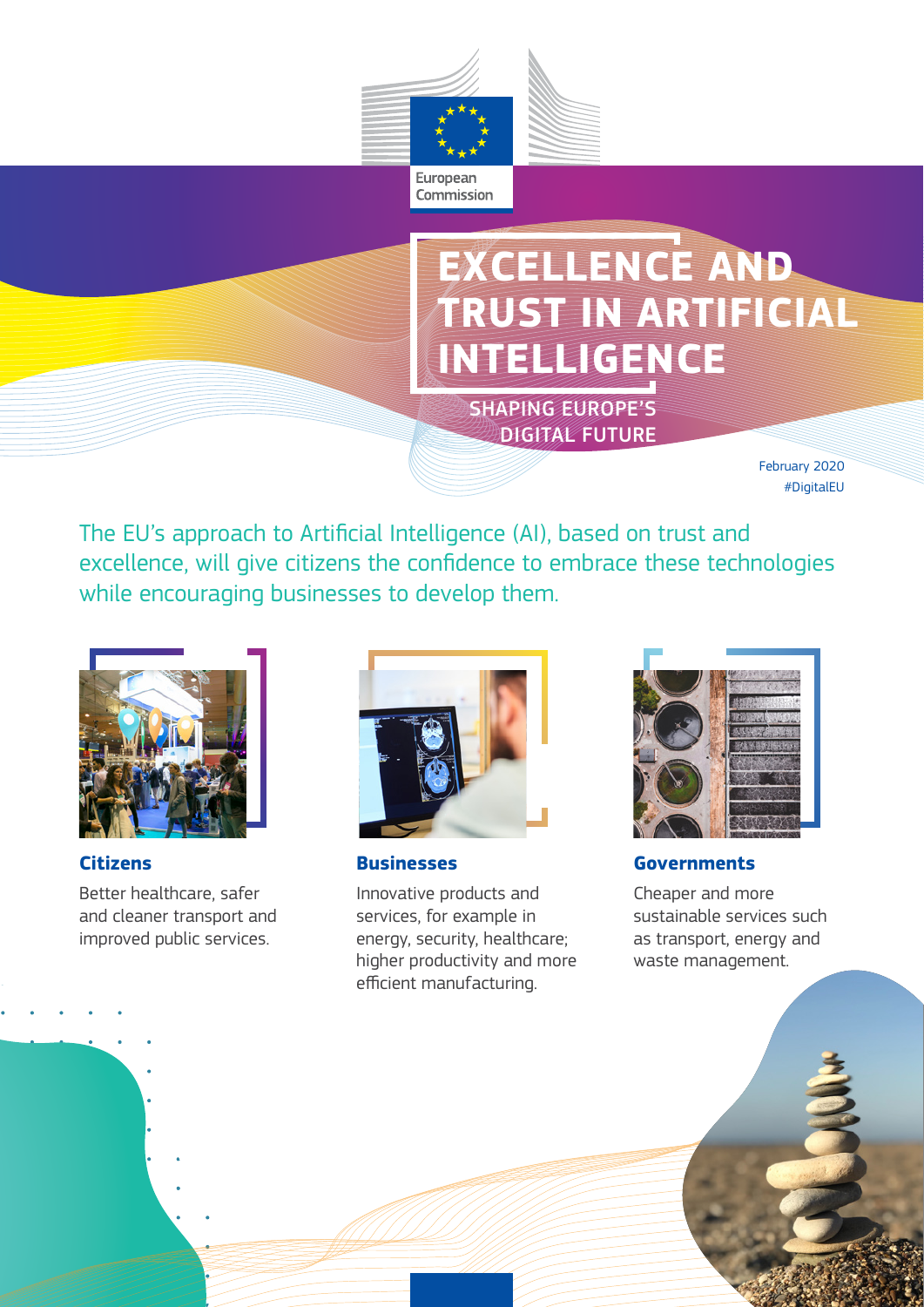

# **EXCELLENCE AND TRUST IN ARTIFICIAL INTELLIGENCE**

SHAPING EUROPE'S DIGITAL FUTURE

> February 2020 #DigitalEU

The EU's approach to Artificial Intelligence (AI), based on trust and excellence, will give citizens the confidence to embrace these technologies while encouraging businesses to develop them.



**Citizens**

Better healthcare, safer and cleaner transport and improved public services.



**Businesses**

Innovative products and services, for example in energy, security, healthcare; higher productivity and more efficient manufacturing.



**Governments**

Cheaper and more sustainable services such as transport, energy and waste management.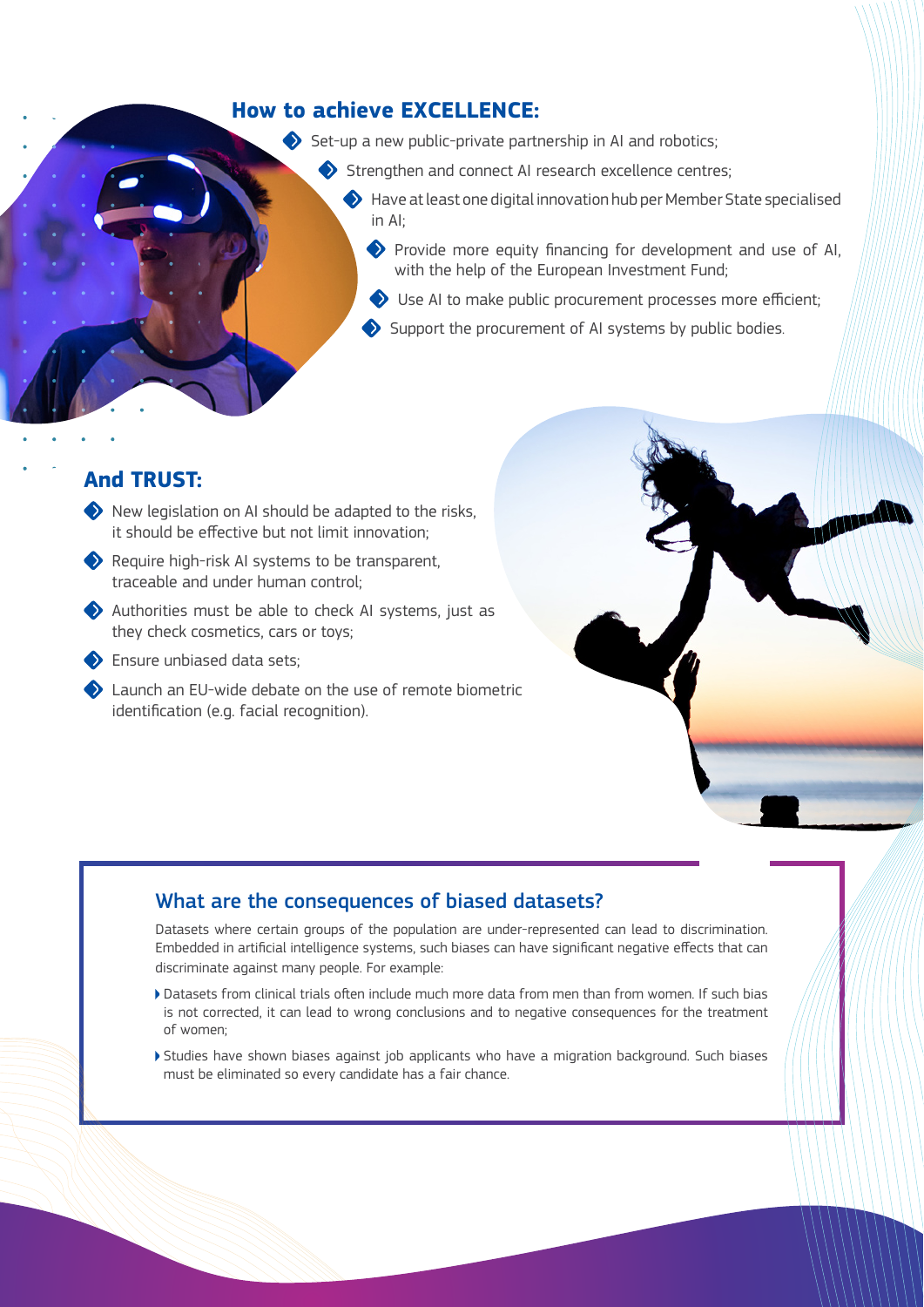### **How to achieve EXCELLENCE:**

 $\blacklozenge$  Set-up a new public-private partnership in AI and robotics;

- Strengthen and connect AI research excellence centres:
	- Have at least one digital innovation hub per Member State specialised in AI;
		- Provide more equity financing for development and use of AI, with the help of the European Investment Fund;
		- Use AI to make public procurement processes more efficient;
		- Support the procurement of AI systems by public bodies.

### **And TRUST:**

- $\blacklozenge$  New legislation on AI should be adapted to the risks. it should be effective but not limit innovation;
- Require high-risk AI systems to be transparent, traceable and under human control;
- Authorities must be able to check AI systems, just as they check cosmetics, cars or toys;
- Ensure unbiased data sets;
- Launch an EU-wide debate on the use of remote biometric identification (e.g. facial recognition).



# What are the consequences of biased datasets?

Datasets where certain groups of the population are under-represented can lead to discrimination. Embedded in artificial intelligence systems, such biases can have significant negative effects that can discriminate against many people. For example:

- Datasets from clinical trials often include much more data from men than from women. If such bias is not corrected, it can lead to wrong conclusions and to negative consequences for the treatment of women;
- Studies have shown biases against job applicants who have a migration background. Such biases must be eliminated so every candidate has a fair chance.